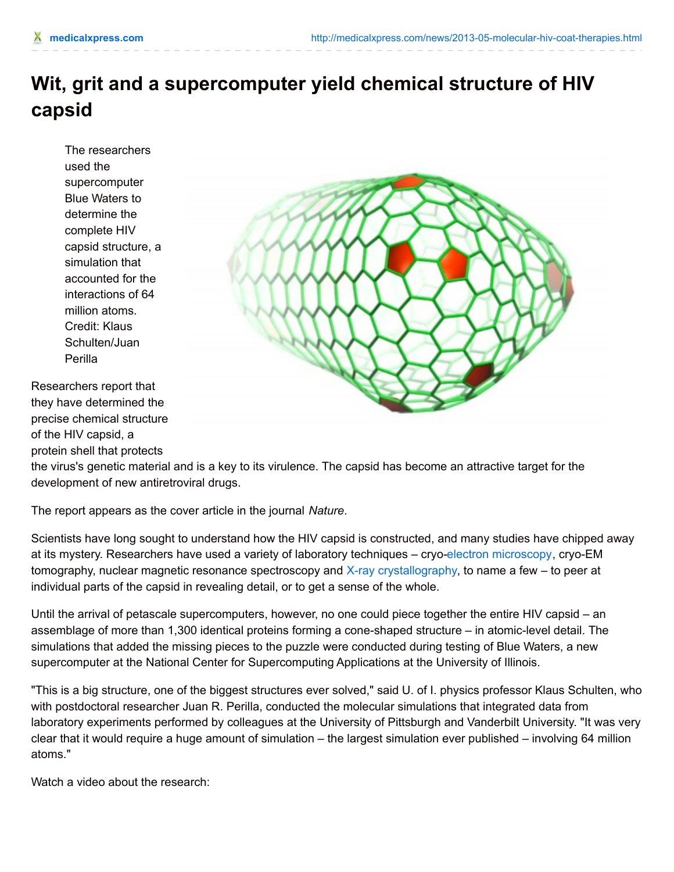## **Wit, grit and a supercomputer yield chemical structure of HIV capsid**

The researchers used the supercomputer Blue Waters to determine the complete HIV capsid structure, a simulation that accounted for the interactions of 64 million atoms. Credit: Klaus Schulten/Juan Perilla

Researchers report that they have determined the precise chemical structure of the HIV capsid, a protein shell that protects



the virus's genetic material and is a key to its virulence. The capsid has become an attractive target for the development of new antiretroviral drugs.

The report appears as the cover article in the journal *Nature*.

Scientists have long sought to understand how the HIV capsid is constructed, and many studies have chipped away at its mystery. Researchers have used a variety of laboratory techniques – cryo-electron [microscopy](http://medicalxpress.com/tags/electron+microscopy/), cryo-EM tomography, nuclear magnetic resonance spectroscopy and X-ray [crystallography](http://medicalxpress.com/tags/x+ray+crystallography/), to name a few – to peer at individual parts of the capsid in revealing detail, or to get a sense of the whole.

Until the arrival of petascale supercomputers, however, no one could piece together the entire HIV capsid – an assemblage of more than 1,300 identical proteins forming a cone-shaped structure – in atomic-level detail. The simulations that added the missing pieces to the puzzle were conducted during testing of Blue Waters, a new supercomputer at the National Center for Supercomputing Applications at the University of Illinois.

"This is a big structure, one of the biggest structures ever solved," said U. of I. physics professor Klaus Schulten, who, with postdoctoral researcher Juan R. Perilla, conducted the molecular simulations that integrated data from laboratory experiments performed by colleagues at the University of Pittsburgh and Vanderbilt University. "It was very clear that it would require a huge amount of simulation – the largest simulation ever published – involving 64 million atoms."

Watch a video about the research: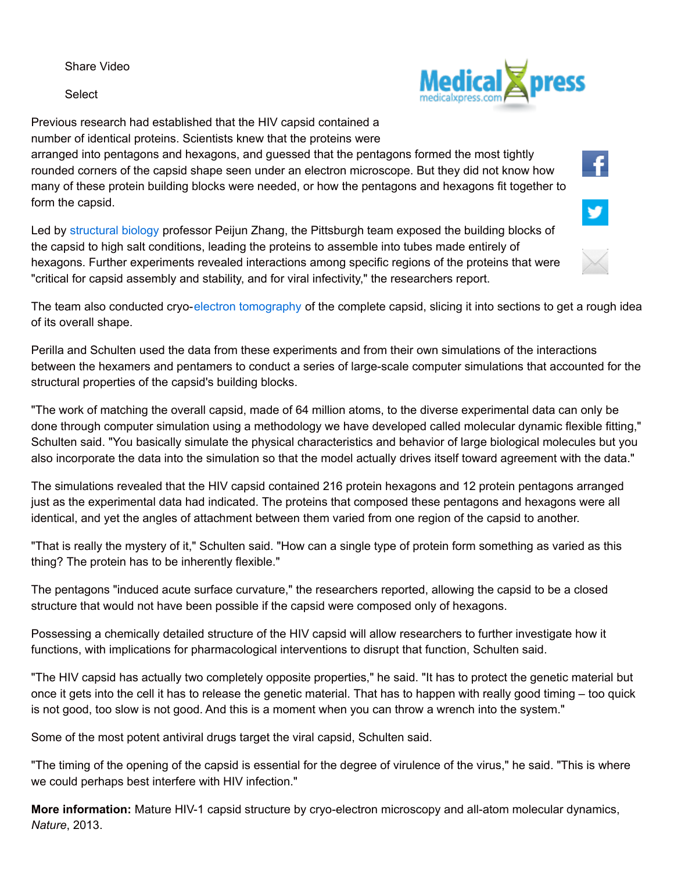Share Video

Select



f.

¥

Previous research had established that the HIV capsid contained a number of identical proteins. Scientists knew that the proteins were

arranged into pentagons and hexagons, and guessed that the pentagons formed the most tightly rounded corners of the capsid shape seen under an electron microscope. But they did not know how many of these protein building blocks were needed, or how the pentagons and hexagons fit together to form the capsid.

Led by [structural](http://medicalxpress.com/tags/structural+biology/) biology professor Peijun Zhang, the Pittsburgh team exposed the building blocks of the capsid to high salt conditions, leading the proteins to assemble into tubes made entirely of hexagons. Further experiments revealed interactions among specific regions of the proteins that were "critical for capsid assembly and stability, and for viral infectivity," the researchers report.

The team also conducted cryo-electron [tomography](http://medicalxpress.com/tags/electron+tomography/) of the complete capsid, slicing it into sections to get a rough idea of its overall shape.

Perilla and Schulten used the data from these experiments and from their own simulations of the interactions between the hexamers and pentamers to conduct a series of large-scale computer simulations that accounted for the structural properties of the capsid's building blocks.

"The work of matching the overall capsid, made of 64 million atoms, to the diverse experimental data can only be done through computer simulation using a methodology we have developed called molecular dynamic flexible fitting," Schulten said. "You basically simulate the physical characteristics and behavior of large biological molecules but you also incorporate the data into the simulation so that the model actually drives itself toward agreement with the data."

The simulations revealed that the HIV capsid contained 216 protein hexagons and 12 protein pentagons arranged just as the experimental data had indicated. The proteins that composed these pentagons and hexagons were all identical, and yet the angles of attachment between them varied from one region of the capsid to another.

"That is really the mystery of it," Schulten said. "How can a single type of protein form something as varied as this thing? The protein has to be inherently flexible."

The pentagons "induced acute surface curvature," the researchers reported, allowing the capsid to be a closed structure that would not have been possible if the capsid were composed only of hexagons.

Possessing a chemically detailed structure of the HIV capsid will allow researchers to further investigate how it functions, with implications for pharmacological interventions to disrupt that function, Schulten said.

"The HIV capsid has actually two completely opposite properties," he said. "It has to protect the genetic material but once it gets into the cell it has to release the genetic material. That has to happen with really good timing – too quick is not good, too slow is not good. And this is a moment when you can throw a wrench into the system."

Some of the most potent antiviral drugs target the viral capsid, Schulten said.

"The timing of the opening of the capsid is essential for the degree of virulence of the virus," he said. "This is where we could perhaps best interfere with HIV infection."

**More information:** Mature HIV-1 capsid structure by cryo-electron microscopy and all-atom molecular dynamics, *Nature*, 2013.